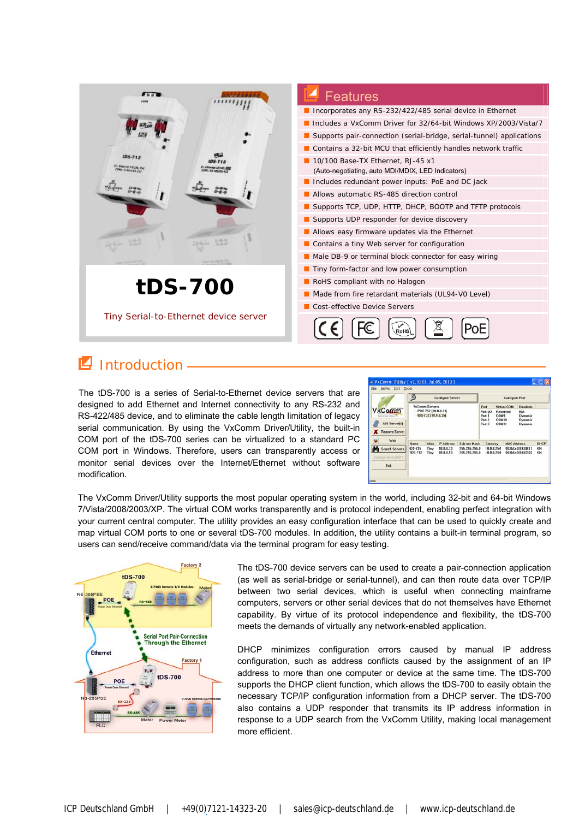

## **Introduction**

The tDS-700 is a series of Serial-to-Ethernet device servers that are designed to add Ethernet and Internet connectivity to any RS-232 and RS-422/485 device, and to eliminate the cable length limitation of legacy serial communication. By using the VxComm Driver/Utility, the built-in COM port of the tDS-700 series can be virtualized to a standard PC COM port in Windows. Therefore, users can transparently access or monitor serial devices over the Internet/Ethernet without software modification.

|                                                               |      | 疸<br><b>Configure Server</b>                                        |                   |                     | <b>Configure Port</b>                          |                                                           |                                                                              |             |
|---------------------------------------------------------------|------|---------------------------------------------------------------------|-------------------|---------------------|------------------------------------------------|-----------------------------------------------------------|------------------------------------------------------------------------------|-------------|
| <b>VxComm</b><br><b>Add Server[s]</b><br><b>Remove Server</b> |      | <b>VxComm Servers</b><br>PDS-752 [10.0.8.31]<br>IDS-732 (10.0.8.35) |                   |                     | Port<br>Port I/O<br>Port 1<br>Port 2<br>Port 3 | <b>Virtual COM</b><br>Reserved<br>COM'S<br>COMTO<br>COM11 | Baudrate<br><b>N/A</b><br><b>Dynamic</b><br><b>Dynamic</b><br><b>Dynamic</b> |             |
|                                                               |      |                                                                     | <b>IP Address</b> | <b>Sub-net Mask</b> | Gateway                                        | <b>MAC Address</b>                                        |                                                                              | <b>DHCP</b> |
| ы<br>Web                                                      | Name | Alias                                                               |                   |                     | 255, 255, 255.0                                | 10.0.8.254                                                | 00:0d:e0:80:00:17                                                            | ON          |

The VxComm Driver/Utility supports the most popular operating system in the world, including 32-bit and 64-bit Windows 7/Vista/2008/2003/XP. The virtual COM works transparently and is protocol independent, enabling perfect integration with your current central computer. The utility provides an easy configuration interface that can be used to quickly create and map virtual COM ports to one or several tDS-700 modules. In addition, the utility contains a built-in terminal program, so users can send/receive command/data via the terminal program for easy testing.



The tDS-700 device servers can be used to create a pair-connection application (as well as serial-bridge or serial-tunnel), and can then route data over TCP/IP between two serial devices, which is useful when connecting mainframe computers, servers or other serial devices that do not themselves have Ethernet capability. By virtue of its protocol independence and flexibility, the tDS-700 meets the demands of virtually any network-enabled application.

DHCP minimizes configuration errors caused by manual IP address configuration, such as address conflicts caused by the assignment of an IP address to more than one computer or device at the same time. The tDS-700 supports the DHCP client function, which allows the tDS-700 to easily obtain the necessary TCP/IP configuration information from a DHCP server. The tDS-700 also contains a UDP responder that transmits its IP address information in response to a UDP search from the VxComm Utility, making local management more efficient.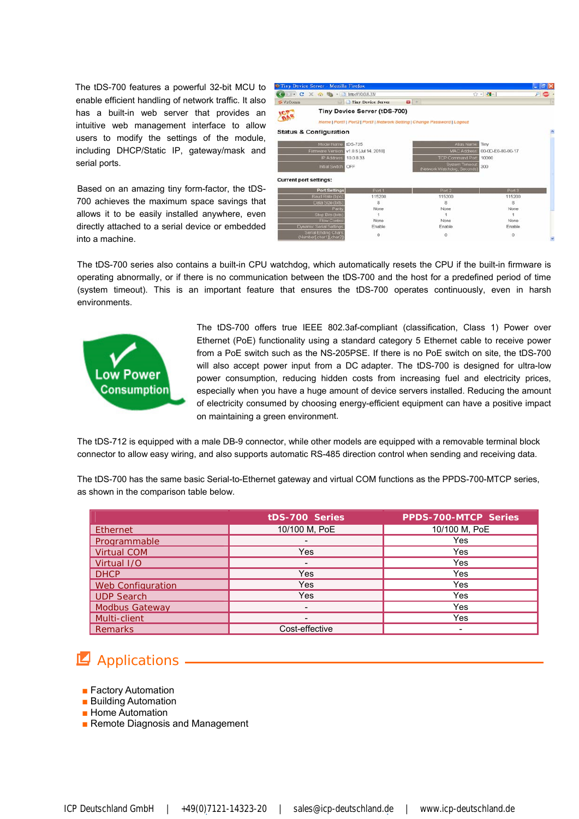The tDS-700 features a powerful 32-bit MCU to enable efficient handling of network traffic. It also has a built-in web server that provides an intuitive web management interface to allow users to modify the settings of the module, including DHCP/Static IP, gateway/mask and serial ports.

Based on an amazing tiny form-factor, the tDS-700 achieves the maximum space savings that allows it to be easily installed anywhere, even directly attached to a serial device or embedded into a machine.

|                               | $\cdot$ C $\times$ O $\rightarrow$ Thmp://10.0.8.33/ |                              |                                                                           | ☆ - 韓-1           |  |  |
|-------------------------------|------------------------------------------------------|------------------------------|---------------------------------------------------------------------------|-------------------|--|--|
| <b>U.</b> VxComm              |                                                      | Tiny Device Server           | $\mathbf{G}$ +                                                            |                   |  |  |
|                               |                                                      | Tiny Device Server (tDS-700) |                                                                           |                   |  |  |
|                               |                                                      |                              | Home   Port1   Port2   Port3   Network Setting   Change Password   Logout |                   |  |  |
|                               | <b>Status &amp; Configuration</b>                    |                              |                                                                           |                   |  |  |
|                               | Model Name<br><b>tDS-735</b>                         |                              | Alias Name                                                                | Tiny              |  |  |
|                               | Firmware Version:                                    | v1.0.6 [Jul.14, 2010]        | <b>MAC Address</b>                                                        | 00-0D-E0-80-00-17 |  |  |
|                               | IP Address<br>100833                                 |                              | TCP Command Port 10000                                                    |                   |  |  |
|                               | Initial Switch<br>OFF                                |                              | <b>System Timeout</b><br>(Network Watchdog, Seconds                       | 300               |  |  |
| <b>Current port settings:</b> |                                                      |                              |                                                                           |                   |  |  |
|                               | <b>Port Settings</b>                                 | Port 1                       | Port 2                                                                    | Port 3            |  |  |
|                               | Baud Rate (bps):                                     | 115200                       | 115200                                                                    | 115200            |  |  |
|                               | Data Size (bits)                                     | 8                            | 8                                                                         | s                 |  |  |
|                               | Parity                                               | None                         | None                                                                      | None              |  |  |
|                               | Stop Bits (bits)                                     |                              |                                                                           |                   |  |  |
|                               | <b>Flow Control</b>                                  | None                         | None                                                                      | None              |  |  |
|                               | Dynamic Serial Settings                              | Enable                       | Enable                                                                    | Enable            |  |  |
|                               | <b>Serial Ending Chars</b>                           |                              |                                                                           |                   |  |  |

The tDS-700 series also contains a built-in CPU watchdog, which automatically resets the CPU if the built-in firmware is operating abnormally, or if there is no communication between the tDS-700 and the host for a predefined period of time (system timeout). This is an important feature that ensures the tDS-700 operates continuously, even in harsh environments.



The tDS-700 offers true IEEE 802.3af-compliant (classification, Class 1) Power over Ethernet (PoE) functionality using a standard category 5 Ethernet cable to receive power from a PoE switch such as the NS-205PSE. If there is no PoE switch on site, the tDS-700 will also accept power input from a DC adapter. The tDS-700 is designed for ultra-low power consumption, reducing hidden costs from increasing fuel and electricity prices, especially when you have a huge amount of device servers installed. Reducing the amount of electricity consumed by choosing energy-efficient equipment can have a positive impact on maintaining a green environment.

The tDS-712 is equipped with a male DB-9 connector, while other models are equipped with a removable terminal block connector to allow easy wiring, and also supports automatic RS-485 direction control when sending and receiving data.

The tDS-700 has the same basic Serial-to-Ethernet gateway and virtual COM functions as the PPDS-700-MTCP series, as shown in the comparison table below.

|                          | tDS-700 Series | <b>PPDS-700-MTCP Series</b> |
|--------------------------|----------------|-----------------------------|
| Ethernet                 | 10/100 M, PoE  | 10/100 M, PoE               |
| Programmable             |                | Yes                         |
| <b>Virtual COM</b>       | Yes            | Yes                         |
| Virtual I/O              | -              | Yes                         |
| <b>DHCP</b>              | Yes            | Yes                         |
| <b>Web Configuration</b> | Yes            | Yes                         |
| <b>UDP Search</b>        | Yes            | Yes                         |
| <b>Modbus Gateway</b>    |                | Yes                         |
| Multi-client             |                | Yes                         |
| <b>Remarks</b>           | Cost-effective |                             |

## **4** Applications -

- Factory Automation
- Building Automation
- Home Automation
- **■** Remote Diagnosis and Management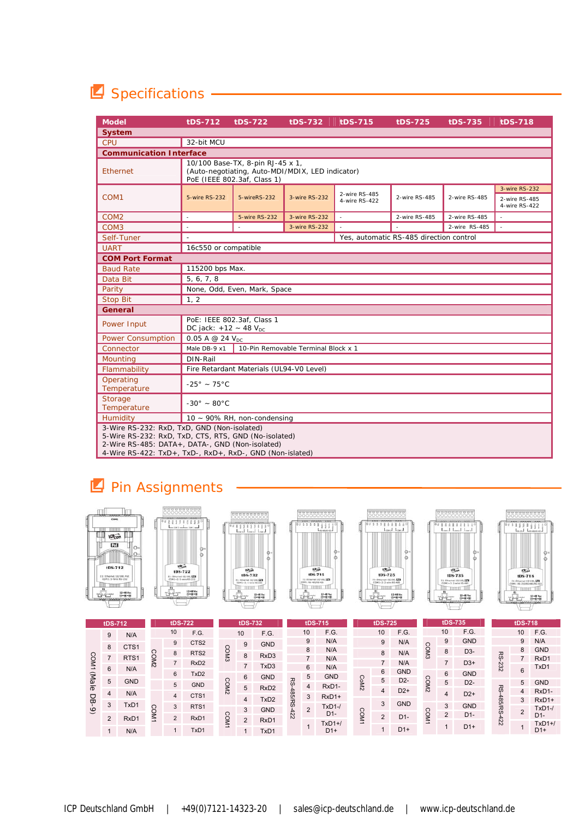## **E** Specifications

| <b>Model</b>                                                                                                                                                                                                       | tDS-712                                                                                                             | tDS-722                      | tDS-732       | tDS-715                        | tDS-725                                 | tDS-735       | tDS-718                                         |
|--------------------------------------------------------------------------------------------------------------------------------------------------------------------------------------------------------------------|---------------------------------------------------------------------------------------------------------------------|------------------------------|---------------|--------------------------------|-----------------------------------------|---------------|-------------------------------------------------|
| <b>System</b>                                                                                                                                                                                                      |                                                                                                                     |                              |               |                                |                                         |               |                                                 |
| <b>CPU</b>                                                                                                                                                                                                         | 32-bit MCU                                                                                                          |                              |               |                                |                                         |               |                                                 |
| <b>Communication Interface</b>                                                                                                                                                                                     |                                                                                                                     |                              |               |                                |                                         |               |                                                 |
| Ethernet                                                                                                                                                                                                           | 10/100 Base-TX, 8-pin RJ-45 x 1,<br>(Auto-negotiating, Auto-MDI/MDIX, LED indicator)<br>PoE (IEEE 802.3af, Class 1) |                              |               |                                |                                         |               |                                                 |
| COM <sub>1</sub>                                                                                                                                                                                                   | 5-wire RS-232                                                                                                       | 5-wireRS-232                 | 3-wire RS-232 | 2-wire RS-485<br>4-wire RS-422 | 2-wire RS-485                           | 2-wire RS-485 | 3-wire RS-232<br>2-wire RS-485<br>4-wire RS-422 |
| COM <sub>2</sub>                                                                                                                                                                                                   | $\overline{\phantom{a}}$                                                                                            | 5-wire RS-232                | 3-wire RS-232 | ÷.                             | 2-wire RS-485                           | 2-wire RS-485 |                                                 |
| COM <sub>3</sub>                                                                                                                                                                                                   | $\overline{a}$                                                                                                      | $\sim$                       | 3-wire RS-232 | $\overline{a}$                 | ÷                                       | 2-wire RS-485 | $\mathcal{L}$                                   |
| Self-Tuner                                                                                                                                                                                                         | $\overline{a}$                                                                                                      |                              |               |                                | Yes, automatic RS-485 direction control |               |                                                 |
| <b>UART</b>                                                                                                                                                                                                        | 16c550 or compatible                                                                                                |                              |               |                                |                                         |               |                                                 |
| <b>COM Port Format</b>                                                                                                                                                                                             |                                                                                                                     |                              |               |                                |                                         |               |                                                 |
| <b>Baud Rate</b>                                                                                                                                                                                                   |                                                                                                                     | 115200 bps Max.              |               |                                |                                         |               |                                                 |
| Data Bit                                                                                                                                                                                                           | 5, 6, 7, 8                                                                                                          |                              |               |                                |                                         |               |                                                 |
| Parity                                                                                                                                                                                                             |                                                                                                                     | None, Odd, Even, Mark, Space |               |                                |                                         |               |                                                 |
| <b>Stop Bit</b>                                                                                                                                                                                                    | 1, 2                                                                                                                |                              |               |                                |                                         |               |                                                 |
| General                                                                                                                                                                                                            |                                                                                                                     |                              |               |                                |                                         |               |                                                 |
| Power Input                                                                                                                                                                                                        | PoE: IEEE 802.3af, Class 1<br>DC jack: +12 ~ 48 $V_{DC}$                                                            |                              |               |                                |                                         |               |                                                 |
| <b>Power Consumption</b>                                                                                                                                                                                           | 0.05 A $@$ 24 $V_{DC}$                                                                                              |                              |               |                                |                                         |               |                                                 |
| Connector                                                                                                                                                                                                          | Male DB-9 x1<br>10-Pin Removable Terminal Block x 1                                                                 |                              |               |                                |                                         |               |                                                 |
| Mountina                                                                                                                                                                                                           | DIN-Rail                                                                                                            |                              |               |                                |                                         |               |                                                 |
| Flammability                                                                                                                                                                                                       | Fire Retardant Materials (UL94-V0 Level)                                                                            |                              |               |                                |                                         |               |                                                 |
| Operating<br>Temperature                                                                                                                                                                                           | $-25^{\circ}$ ~ 75°C                                                                                                |                              |               |                                |                                         |               |                                                 |
| Storage<br>Temperature                                                                                                                                                                                             | $-30^\circ - 80^\circ C$                                                                                            |                              |               |                                |                                         |               |                                                 |
| Humidity                                                                                                                                                                                                           |                                                                                                                     | 10 ~ 90% RH, non-condensing  |               |                                |                                         |               |                                                 |
| 3-Wire RS-232: RxD, TxD, GND (Non-isolated)<br>5-Wire RS-232: RxD, TxD, CTS, RTS, GND (No-isolated)<br>2-Wire RS-485: DATA+, DATA-, GND (Non-isolated)<br>4-Wire RS-422: TxD+, TxD-, RxD+, RxD-, GND (Non-islated) |                                                                                                                     |                              |               |                                |                                         |               |                                                 |

## **Pin Assignments**